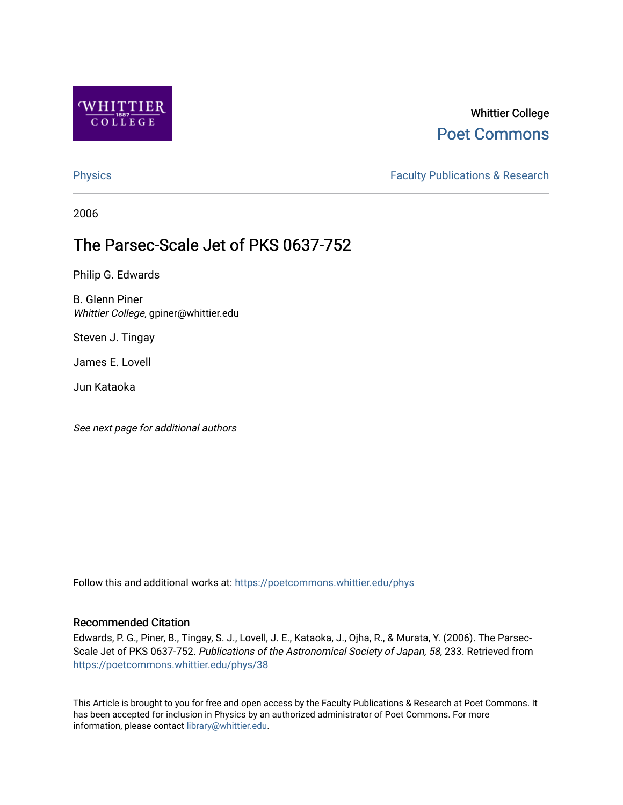

# Whittier College [Poet Commons](https://poetcommons.whittier.edu/)

[Physics](https://poetcommons.whittier.edu/phys) **Faculty Publications & Research Physics Faculty Publications & Research** 

2006

# The Parsec-Scale Jet of PKS 0637-752

Philip G. Edwards

B. Glenn Piner Whittier College, gpiner@whittier.edu

Steven J. Tingay

James E. Lovell

Jun Kataoka

See next page for additional authors

Follow this and additional works at: [https://poetcommons.whittier.edu/phys](https://poetcommons.whittier.edu/phys?utm_source=poetcommons.whittier.edu%2Fphys%2F38&utm_medium=PDF&utm_campaign=PDFCoverPages)

# Recommended Citation

Edwards, P. G., Piner, B., Tingay, S. J., Lovell, J. E., Kataoka, J., Ojha, R., & Murata, Y. (2006). The Parsec-Scale Jet of PKS 0637-752. Publications of the Astronomical Society of Japan, 58, 233. Retrieved from [https://poetcommons.whittier.edu/phys/38](https://poetcommons.whittier.edu/phys/38?utm_source=poetcommons.whittier.edu%2Fphys%2F38&utm_medium=PDF&utm_campaign=PDFCoverPages) 

This Article is brought to you for free and open access by the Faculty Publications & Research at Poet Commons. It has been accepted for inclusion in Physics by an authorized administrator of Poet Commons. For more information, please contact [library@whittier.edu.](mailto:library@whittier.edu)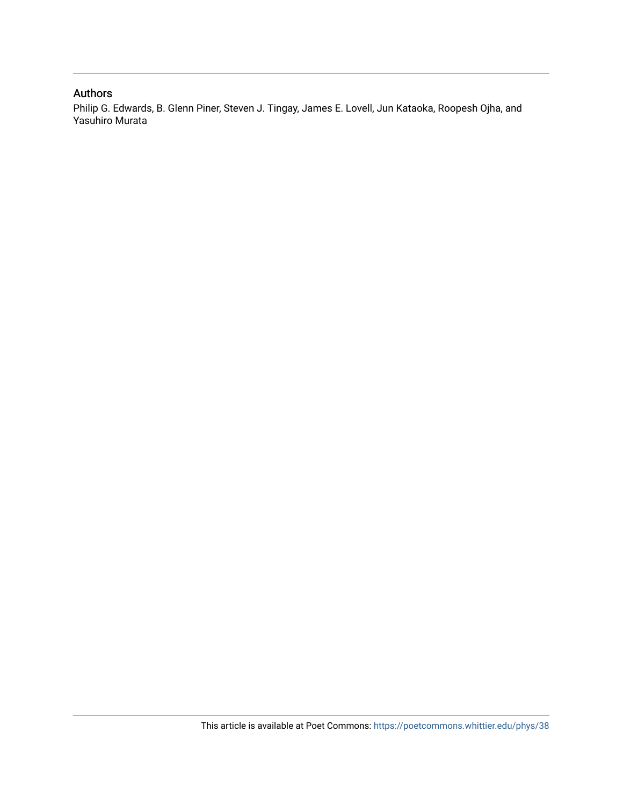# Authors

Philip G. Edwards, B. Glenn Piner, Steven J. Tingay, James E. Lovell, Jun Kataoka, Roopesh Ojha, and Yasuhiro Murata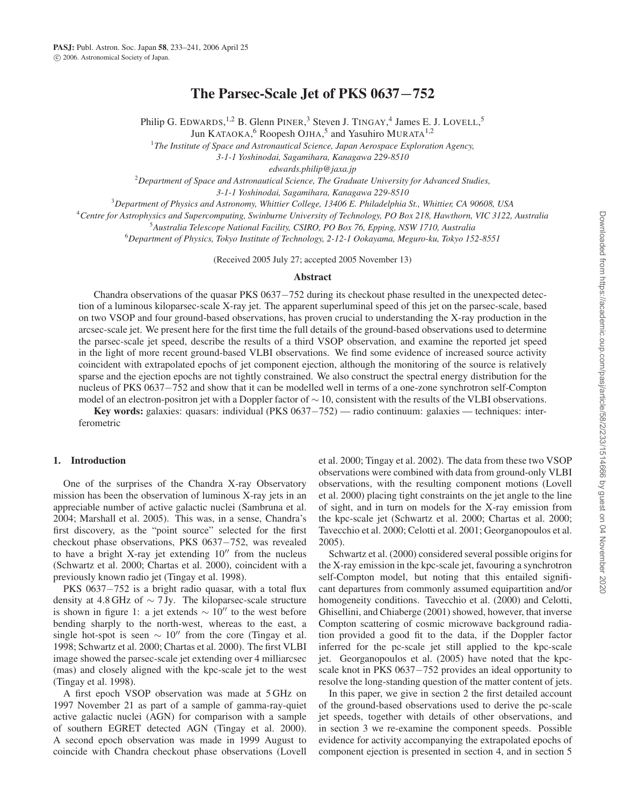# The Parsec-Scale Jet of PKS 0637*−*752

Philip G. EDWARDS, <sup>1,2</sup> B. Glenn PINER, <sup>3</sup> Steven J. TINGAY, <sup>4</sup> James E. J. LOVELL, <sup>5</sup>

Jun KATAOKA,<sup>6</sup> Roopesh OJHA,<sup>5</sup> and Yasuhiro MURATA<sup>1,2</sup>

<sup>1</sup>The Institute of Space and Astronautical Science, Japan Aerospace Exploration Agency,

*3-1-1 Yoshinodai, Sagamihara, Kanagawa 229-8510*

*edwards.philip@jaxa.jp*

2 *Department of Space and Astronautical Science, The Graduate University for Advanced Studies,*

*3-1-1 Yoshinodai, Sagamihara, Kanagawa 229-8510*

3 *Department of Physics and Astronomy, Whittier College, 13406 E. Philadelphia St., Whittier, CA 90608, USA*

4 *Centre for Astrophysics and Supercomputing, Swinburne University of Technology, PO Box 218, Hawthorn, VIC 3122, Australia*

5 *Australia Telescope National Facility, CSIRO, PO Box 76, Epping, NSW 1710, Australia*

6 *Department of Physics, Tokyo Institute of Technology, 2-12-1 Ookayama, Meguro-ku, Tokyo 152-8551*

(Received 2005 July 27; accepted 2005 November 13)

#### Abstract

Chandra observations of the quasar PKS 0637−752 during its checkout phase resulted in the unexpected detection of a luminous kiloparsec-scale X-ray jet. The apparent superluminal speed of this jet on the parsec-scale, based on two VSOP and four ground-based observations, has proven crucial to understanding the X-ray production in the arcsec-scale jet. We present here for the first time the full details of the ground-based observations used to determine the parsec-scale jet speed, describe the results of a third VSOP observation, and examine the reported jet speed in the light of more recent ground-based VLBI observations. We find some evidence of increased source activity coincident with extrapolated epochs of jet component ejection, although the monitoring of the source is relatively sparse and the ejection epochs are not tightly constrained. We also construct the spectral energy distribution for the nucleus of PKS 0637−752 and show that it can be modelled well in terms of a one-zone synchrotron self-Compton model of an electron-positron jet with a Doppler factor of ∼ 10, consistent with the results of the VLBI observations.

Key words: galaxies: quasars: individual (PKS 0637−752) — radio continuum: galaxies — techniques: interferometric

#### 1. Introduction

One of the surprises of the Chandra X-ray Observatory mission has been the observation of luminous X-ray jets in an appreciable number of active galactic nuclei (Sambruna et al. 2004; Marshall et al. 2005). This was, in a sense, Chandra's first discovery, as the "point source" selected for the first checkout phase observations, PKS 0637−752, was revealed to have a bright X-ray jet extending  $10''$  from the nucleus (Schwartz et al. 2000; Chartas et al. 2000), coincident with a previously known radio jet (Tingay et al. 1998).

PKS 0637−752 is a bright radio quasar, with a total flux density at 4.8 GHz of  $\sim$  7 Jy. The kiloparsec-scale structure is shown in figure 1: a jet extends  $\sim 10''$  to the west before bending sharply to the north-west, whereas to the east, a single hot-spot is seen  $\sim 10''$  from the core (Tingay et al. 1998; Schwartz et al. 2000; Chartas et al. 2000). The first VLBI image showed the parsec-scale jet extending over 4 milliarcsec (mas) and closely aligned with the kpc-scale jet to the west (Tingay et al. 1998).

A first epoch VSOP observation was made at 5 GHz on 1997 November 21 as part of a sample of gamma-ray-quiet active galactic nuclei (AGN) for comparison with a sample of southern EGRET detected AGN (Tingay et al. 2000). A second epoch observation was made in 1999 August to coincide with Chandra checkout phase observations (Lovell et al. 2000; Tingay et al. 2002). The data from these two VSOP observations were combined with data from ground-only VLBI observations, with the resulting component motions (Lovell et al. 2000) placing tight constraints on the jet angle to the line of sight, and in turn on models for the X-ray emission from the kpc-scale jet (Schwartz et al. 2000; Chartas et al. 2000; Tavecchio et al. 2000; Celotti et al. 2001; Georganopoulos et al. 2005).

Schwartz et al. (2000) considered several possible origins for the X-ray emission in the kpc-scale jet, favouring a synchrotron self-Compton model, but noting that this entailed significant departures from commonly assumed equipartition and/or homogeneity conditions. Tavecchio et al. (2000) and Celotti, Ghisellini, and Chiaberge (2001) showed, however, that inverse Compton scattering of cosmic microwave background radiation provided a good fit to the data, if the Doppler factor inferred for the pc-scale jet still applied to the kpc-scale jet. Georganopoulos et al. (2005) have noted that the kpcscale knot in PKS 0637−752 provides an ideal opportunity to resolve the long-standing question of the matter content of jets.

In this paper, we give in section 2 the first detailed account of the ground-based observations used to derive the pc-scale jet speeds, together with details of other observations, and in section 3 we re-examine the component speeds. Possible evidence for activity accompanying the extrapolated epochs of component ejection is presented in section 4, and in section 5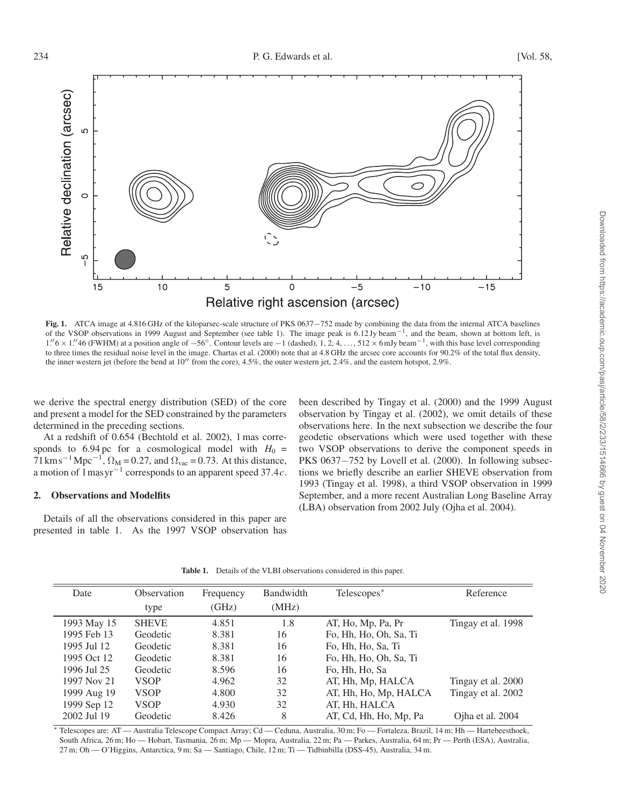

Fig. 1. ATCA image at 4.816 GHz of the kiloparsec-scale structure of PKS 0637−752 made by combining the data from the internal ATCA baselines of the VSOP observations in 1999 August and September (see table 1). The image peak is 6.12 Jy beam−1, and the beam, shown at bottom left, is 1. 6 × 1. 46 (FWHM) at a position angle of <sup>−</sup>56◦. Contour levels are <sup>−</sup>1 (dashed), 1, 2, 4, . . . , 512 <sup>×</sup> 6mJy beam−1, with this base level corresponding to three times the residual noise level in the image. Chartas et al. (2000) note that at 4.8 GHz the arcsec core accounts for 90.2% of the total flux density, the inner western jet (before the bend at  $10''$  from the core),  $4.5\%$ , the outer western jet,  $2.4\%$ , and the eastern hotspot,  $2.9\%$ .

we derive the spectral energy distribution (SED) of the core and present a model for the SED constrained by the parameters determined in the preceding sections.

At a redshift of 0.654 (Bechtold et al. 2002), 1 mas corresponds to 6.94 pc for a cosmological model with  $H_0 =$  $71 \text{ km s}^{-1} \text{ Mpc}^{-1}$ ,  $\Omega_M = 0.27$ , and  $\Omega_{\text{vac}} = 0.73$ . At this distance, a motion of  $1$  mas yr<sup>-1</sup> corresponds to an apparent speed 37.4*c*.

### 2. Observations and Modelfits

Details of all the observations considered in this paper are presented in table 1. As the 1997 VSOP observation has been described by Tingay et al. (2000) and the 1999 August observation by Tingay et al. (2002), we omit details of these observations here. In the next subsection we describe the four geodetic observations which were used together with these two VSOP observations to derive the component speeds in PKS 0637−752 by Lovell et al. (2000). In following subsections we briefly describe an earlier SHEVE observation from 1993 (Tingay et al. 1998), a third VSOP observation in 1999 September, and a more recent Australian Long Baseline Array (LBA) observation from 2002 July (Ojha et al. 2004).

| Date        | Observation<br>type | Frequency<br>(GHz) | Bandwidth<br>(MHz) | Telescopes <sup>*</sup> | Reference          |
|-------------|---------------------|--------------------|--------------------|-------------------------|--------------------|
| 1993 May 15 | <b>SHEVE</b>        | 4.851              | 1.8                | AT, Ho, Mp, Pa, Pr      | Tingay et al. 1998 |
| 1995 Feb 13 | Geodetic            | 8.381              | 16                 | Fo, Hh, Ho, Oh, Sa, Ti  |                    |
| 1995 Jul 12 | Geodetic            | 8.381              | 16                 | Fo, Hh, Ho, Sa, Ti      |                    |
| 1995 Oct 12 | Geodetic            | 8.381              | 16                 | Fo, Hh, Ho, Oh, Sa, Ti  |                    |
| 1996 Jul 25 | Geodetic            | 8.596              | 16                 | Fo, Hh, Ho, Sa          |                    |
| 1997 Nov 21 | VSOP                | 4.962              | 32                 | AT, Hh, Mp, HALCA       | Tingay et al. 2000 |
| 1999 Aug 19 | <b>VSOP</b>         | 4.800              | 32                 | AT, Hh, Ho, Mp, HALCA   | Tingay et al. 2002 |
| 1999 Sep 12 | <b>VSOP</b>         | 4.930              | 32                 | AT, Hh, HALCA           |                    |
| 2002 Jul 19 | Geodetic            | 8.426              | 8                  | AT, Cd, Hh, Ho, Mp, Pa  | Ojha et al. 2004   |

Table 1. Details of the VLBI observations considered in this paper.

∗ Telescopes are: AT — Australia Telescope Compact Array; Cd — Ceduna, Australia, 30 m; Fo — Fortaleza, Brazil, 14 m; Hh — Hartebeesthoek, South Africa, 26 m; Ho — Hobart, Tasmania, 26 m; Mp — Mopra, Australia, 22 m; Pa — Parkes, Australia, 64 m; Pr — Perth (ESA), Australia, 27 m; Oh — O'Higgins, Antarctica, 9 m; Sa — Santiago, Chile, 12 m; Ti — Tidbinbilla (DSS-45), Australia, 34 m.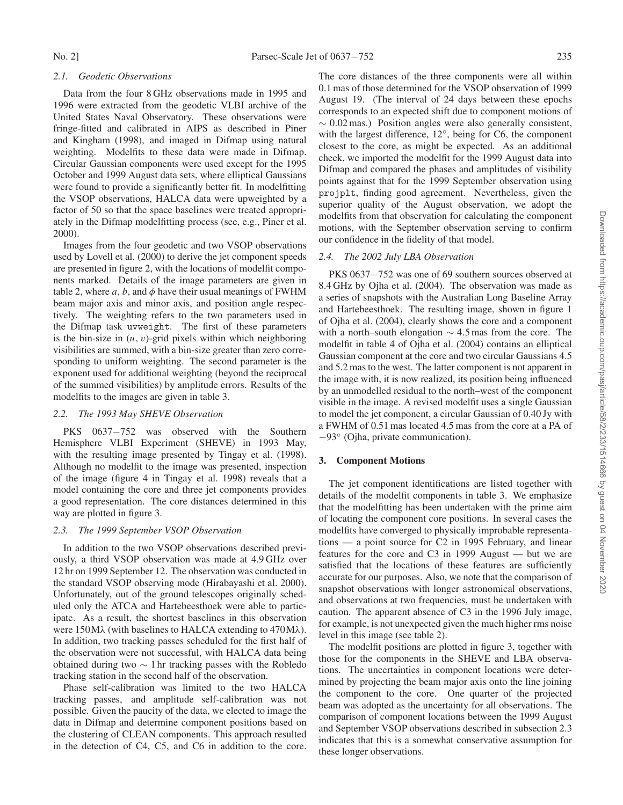## *2.1. Geodetic Observations*

Data from the four 8 GHz observations made in 1995 and 1996 were extracted from the geodetic VLBI archive of the United States Naval Observatory. These observations were fringe-fitted and calibrated in AIPS as described in Piner and Kingham (1998), and imaged in Difmap using natural weighting. Modelfits to these data were made in Difmap. Circular Gaussian components were used except for the 1995 October and 1999 August data sets, where elliptical Gaussians were found to provide a significantly better fit. In modelfitting the VSOP observations, HALCA data were upweighted by a factor of 50 so that the space baselines were treated appropriately in the Difmap modelfitting process (see, e.g., Piner et al. 2000).

Images from the four geodetic and two VSOP observations used by Lovell et al. (2000) to derive the jet component speeds are presented in figure 2, with the locations of modelfit components marked. Details of the image parameters are given in table 2, where a, b, and  $\phi$  have their usual meanings of FWHM beam major axis and minor axis, and position angle respectively. The weighting refers to the two parameters used in the Difmap task uvweight. The first of these parameters is the bin-size in  $(u, v)$ -grid pixels within which neighboring visibilities are summed, with a bin-size greater than zero corresponding to uniform weighting. The second parameter is the exponent used for additional weighting (beyond the reciprocal of the summed visibilities) by amplitude errors. Results of the modelfits to the images are given in table 3.

#### *2.2. The 1993 May SHEVE Observation*

PKS 0637-752 was observed with the Southern Hemisphere VLBI Experiment (SHEVE) in 1993 May, with the resulting image presented by Tingay et al. (1998). Although no modelfit to the image was presented, inspection of the image (figure 4 in Tingay et al. 1998) reveals that a model containing the core and three jet components provides a good representation. The core distances determined in this way are plotted in figure 3.

#### *2.3. The 1999 September VSOP Observation*

In addition to the two VSOP observations described previously, a third VSOP observation was made at 4.9 GHz over 12 hr on 1999 September 12. The observation was conducted in the standard VSOP observing mode (Hirabayashi et al. 2000). Unfortunately, out of the ground telescopes originally scheduled only the ATCA and Hartebeesthoek were able to participate. As a result, the shortest baselines in this observation were 150Mλ (with baselines to HALCA extending to 470Mλ). In addition, two tracking passes scheduled for the first half of the observation were not successful, with HALCA data being obtained during two  $\sim$  1 hr tracking passes with the Robledo tracking station in the second half of the observation.

Phase self-calibration was limited to the two HALCA tracking passes, and amplitude self-calibration was not possible. Given the paucity of the data, we elected to image the data in Difmap and determine component positions based on the clustering of CLEAN components. This approach resulted in the detection of C4, C5, and C6 in addition to the core.

The core distances of the three components were all within 0.1 mas of those determined for the VSOP observation of 1999 August 19. (The interval of 24 days between these epochs corresponds to an expected shift due to component motions of  $\sim 0.02$  mas.) Position angles were also generally consistent, with the largest difference, 12◦, being for C6, the component closest to the core, as might be expected. As an additional check, we imported the modelfit for the 1999 August data into Difmap and compared the phases and amplitudes of visibility points against that for the 1999 September observation using projplt, finding good agreement. Nevertheless, given the superior quality of the August observation, we adopt the modelfits from that observation for calculating the component motions, with the September observation serving to confirm our confidence in the fidelity of that model.

#### *2.4. The 2002 July LBA Observation*

PKS 0637−752 was one of 69 southern sources observed at 8.4 GHz by Ojha et al. (2004). The observation was made as a series of snapshots with the Australian Long Baseline Array and Hartebeesthoek. The resulting image, shown in figure 1 of Ojha et al. (2004), clearly shows the core and a component with a north–south elongation  $\sim$  4.5 mas from the core. The modelfit in table 4 of Ojha et al. (2004) contains an elliptical Gaussian component at the core and two circular Gaussians 4.5 and 5.2 mas to the west. The latter component is not apparent in the image with, it is now realized, its position being influenced by an unmodelled residual to the north–west of the component visible in the image. A revised modelfit uses a single Gaussian to model the jet component, a circular Gaussian of 0.40 Jy with a FWHM of 0.51 mas located 4.5 mas from the core at a PA of −93◦ (Ojha, private communication).

#### 3. Component Motions

The jet component identifications are listed together with details of the modelfit components in table 3. We emphasize that the modelfitting has been undertaken with the prime aim of locating the component core positions. In several cases the modelfits have converged to physically improbable representations — a point source for C2 in 1995 February, and linear features for the core and C3 in 1999 August — but we are satisfied that the locations of these features are sufficiently accurate for our purposes. Also, we note that the comparison of snapshot observations with longer astronomical observations, and observations at two frequencies, must be undertaken with caution. The apparent absence of C3 in the 1996 July image, for example, is not unexpected given the much higher rms noise level in this image (see table 2).

The modelfit positions are plotted in figure 3, together with those for the components in the SHEVE and LBA observations. The uncertainties in component locations were determined by projecting the beam major axis onto the line joining the component to the core. One quarter of the projected beam was adopted as the uncertainty for all observations. The comparison of component locations between the 1999 August and September VSOP observations described in subsection 2.3 indicates that this is a somewhat conservative assumption for these longer observations.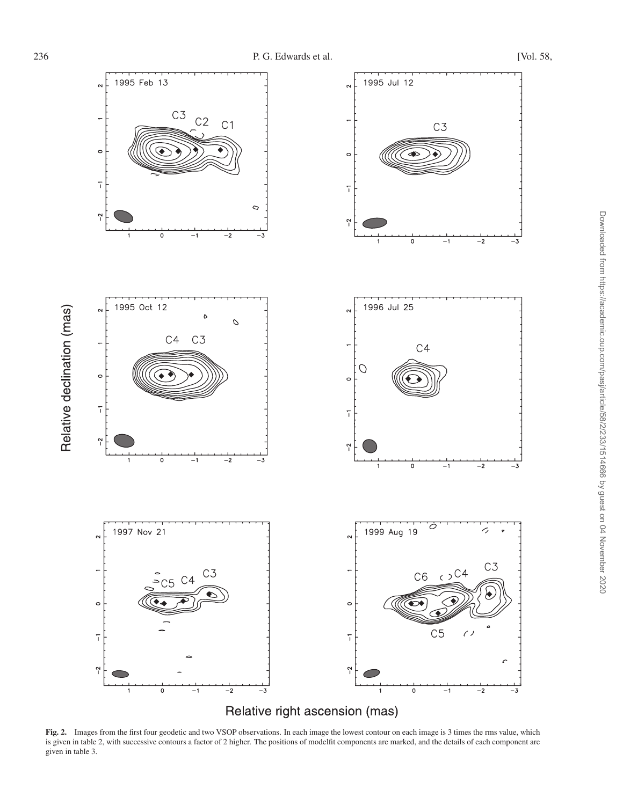

Fig. 2. Images from the first four geodetic and two VSOP observations. In each image the lowest contour on each image is 3 times the rms value, which is given in table 2, with successive contours a factor of 2 higher. The positions of modelfit components are marked, and the details of each component are given in table 3.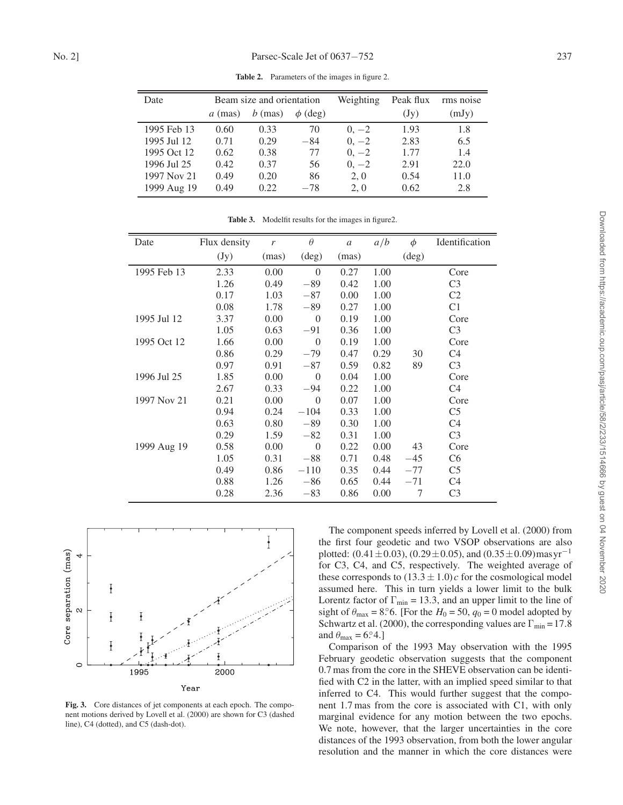| Date        | Beam size and orientation |           |              | Weighting | Peak flux       | rms noise |
|-------------|---------------------------|-----------|--------------|-----------|-----------------|-----------|
|             | $a$ (mas)                 | $b$ (mas) | $\phi$ (deg) |           | $(\mathrm{Jy})$ | (mJy)     |
| 1995 Feb 13 | 0.60                      | 0.33      | 70           | $0, -2$   | 1.93            | 1.8       |
| 1995 Jul 12 | 0.71                      | 0.29      | $-84$        | $0, -2$   | 2.83            | 6.5       |
| 1995 Oct 12 | 0.62                      | 0.38      | 77           | $0, -2$   | 1.77            | 1.4       |
| 1996 Jul 25 | 0.42                      | 0.37      | 56           | $0, -2$   | 2.91            | 22.0      |
| 1997 Nov 21 | 0.49                      | 0.20      | 86           | 2, 0      | 0.54            | 11.0      |
| 1999 Aug 19 | 0.49                      | 0.22      | $-78$        | 2, 0      | 0.62            | 2.8       |

Table 2. Parameters of the images in figure 2.

| Date        | Flux density | r     | $\theta$       | $\boldsymbol{a}$ | a/b  | $\phi$         | Identification |
|-------------|--------------|-------|----------------|------------------|------|----------------|----------------|
|             | (Jy)         | (mas) | $(\text{deg})$ | (mas)            |      | $(\text{deg})$ |                |
| 1995 Feb 13 | 2.33         | 0.00  | $\theta$       | 0.27             | 1.00 |                | Core           |
|             | 1.26         | 0.49  | $-89$          | 0.42             | 1.00 |                | C <sub>3</sub> |
|             | 0.17         | 1.03  | $-87$          | 0.00             | 1.00 |                | C <sub>2</sub> |
|             | 0.08         | 1.78  | $-89$          | 0.27             | 1.00 |                | C <sub>1</sub> |
| 1995 Jul 12 | 3.37         | 0.00  | $\theta$       | 0.19             | 1.00 |                | Core           |
|             | 1.05         | 0.63  | $-91$          | 0.36             | 1.00 |                | C <sub>3</sub> |
| 1995 Oct 12 | 1.66         | 0.00  | $\theta$       | 0.19             | 1.00 |                | Core           |
|             | 0.86         | 0.29  | $-79$          | 0.47             | 0.29 | 30             | C4             |
|             | 0.97         | 0.91  | $-87$          | 0.59             | 0.82 | 89             | C <sub>3</sub> |
| 1996 Jul 25 | 1.85         | 0.00  | $\theta$       | 0.04             | 1.00 |                | Core           |
|             | 2.67         | 0.33  | $-94$          | 0.22             | 1.00 |                | C4             |
| 1997 Nov 21 | 0.21         | 0.00  | $\theta$       | 0.07             | 1.00 |                | Core           |
|             | 0.94         | 0.24  | $-104$         | 0.33             | 1.00 |                | C <sub>5</sub> |
|             | 0.63         | 0.80  | $-89$          | 0.30             | 1.00 |                | C <sub>4</sub> |
|             | 0.29         | 1.59  | $-82$          | 0.31             | 1.00 |                | C <sub>3</sub> |
| 1999 Aug 19 | 0.58         | 0.00  | $\overline{0}$ | 0.22             | 0.00 | 43             | Core           |
|             | 1.05         | 0.31  | $-88$          | 0.71             | 0.48 | $-45$          | C <sub>6</sub> |
|             | 0.49         | 0.86  | $-110$         | 0.35             | 0.44 | $-77$          | C <sub>5</sub> |
|             | 0.88         | 1.26  | $-86$          | 0.65             | 0.44 | $-71$          | C <sub>4</sub> |
|             | 0.28         | 2.36  | $-83$          | 0.86             | 0.00 | 7              | C <sub>3</sub> |

Table 3. Modelfit results for the images in figure2.



Fig. 3. Core distances of jet components at each epoch. The component motions derived by Lovell et al. (2000) are shown for C3 (dashed line), C4 (dotted), and C5 (dash-dot).

The component speeds inferred by Lovell et al. (2000) from the first four geodetic and two VSOP observations are also plotted: (0.41±0.03), (0.29±0.05), and (0.35±0.09)mas  $yr^{-1}$ for C3, C4, and C5, respectively. The weighted average of these corresponds to  $(13.3 \pm 1.0)c$  for the cosmological model assumed here. This in turn yields a lower limit to the bulk Lorentz factor of  $\Gamma_{\text{min}} = 13.3$ , and an upper limit to the line of sight of  $\theta_{\text{max}} = 8^\circ$ 6. [For the  $H_0 = 50$ ,  $q_0 = 0$  model adopted by Schwartz et al. (2000), the corresponding values are  $\Gamma_{\text{min}} = 17.8$ and  $\theta_{\text{max}} = 6.84.$ 

Comparison of the 1993 May observation with the 1995 February geodetic observation suggests that the component 0.7 mas from the core in the SHEVE observation can be identified with C2 in the latter, with an implied speed similar to that inferred to C4. This would further suggest that the component 1.7 mas from the core is associated with C1, with only marginal evidence for any motion between the two epochs. We note, however, that the larger uncertainties in the core distances of the 1993 observation, from both the lower angular resolution and the manner in which the core distances were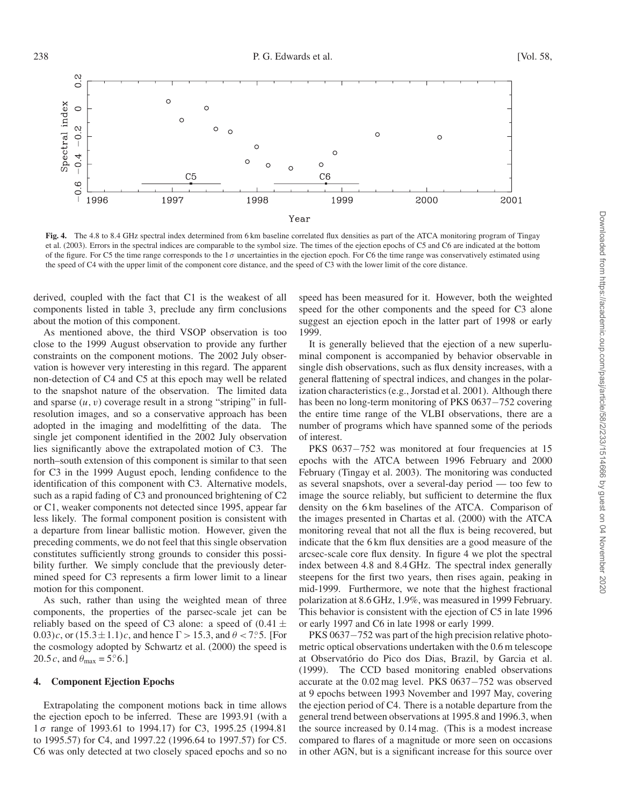

Fig. 4. The 4.8 to 8.4 GHz spectral index determined from 6 km baseline correlated flux densities as part of the ATCA monitoring program of Tingay et al. (2003). Errors in the spectral indices are comparable to the symbol size. The times of the ejection epochs of C5 and C6 are indicated at the bottom of the figure. For C5 the time range corresponds to the  $1\sigma$  uncertainties in the ejection epoch. For C6 the time range was conservatively estimated using the speed of C4 with the upper limit of the component core distance, and the speed of C3 with the lower limit of the core distance.

derived, coupled with the fact that C1 is the weakest of all components listed in table 3, preclude any firm conclusions about the motion of this component.

As mentioned above, the third VSOP observation is too close to the 1999 August observation to provide any further constraints on the component motions. The 2002 July observation is however very interesting in this regard. The apparent non-detection of C4 and C5 at this epoch may well be related to the snapshot nature of the observation. The limited data and sparse  $(u, v)$  coverage result in a strong "striping" in fullresolution images, and so a conservative approach has been adopted in the imaging and modelfitting of the data. The single jet component identified in the 2002 July observation lies significantly above the extrapolated motion of C3. The north–south extension of this component is similar to that seen for C3 in the 1999 August epoch, lending confidence to the identification of this component with C3. Alternative models, such as a rapid fading of C3 and pronounced brightening of C2 or C1, weaker components not detected since 1995, appear far less likely. The formal component position is consistent with a departure from linear ballistic motion. However, given the preceding comments, we do not feel that this single observation constitutes sufficiently strong grounds to consider this possibility further. We simply conclude that the previously determined speed for C3 represents a firm lower limit to a linear motion for this component.

As such, rather than using the weighted mean of three components, the properties of the parsec-scale jet can be reliably based on the speed of C3 alone: a speed of  $(0.41 \pm$ 0.03)c, or  $(15.3 \pm 1.1)c$ , and hence  $\Gamma > 15.3$ , and  $\theta < 7.5$ . [For the cosmology adopted by Schwartz et al. (2000) the speed is 20.5 *c*, and  $\theta_{\text{max}} = 5.^\circ 6$ .]

### 4. Component Ejection Epochs

Extrapolating the component motions back in time allows the ejection epoch to be inferred. These are 1993.91 (with a 1 σ range of 1993.61 to 1994.17) for C3, 1995.25 (1994.81 to 1995.57) for C4, and 1997.22 (1996.64 to 1997.57) for C5. C6 was only detected at two closely spaced epochs and so no

speed has been measured for it. However, both the weighted speed for the other components and the speed for C3 alone suggest an ejection epoch in the latter part of 1998 or early 1999.

It is generally believed that the ejection of a new superluminal component is accompanied by behavior observable in single dish observations, such as flux density increases, with a general flattening of spectral indices, and changes in the polarization characteristics (e.g., Jorstad et al. 2001). Although there has been no long-term monitoring of PKS 0637–752 covering the entire time range of the VLBI observations, there are a number of programs which have spanned some of the periods of interest.

PKS 0637-752 was monitored at four frequencies at 15 epochs with the ATCA between 1996 February and 2000 February (Tingay et al. 2003). The monitoring was conducted as several snapshots, over a several-day period — too few to image the source reliably, but sufficient to determine the flux density on the 6 km baselines of the ATCA. Comparison of the images presented in Chartas et al. (2000) with the ATCA monitoring reveal that not all the flux is being recovered, but indicate that the 6 km flux densities are a good measure of the arcsec-scale core flux density. In figure 4 we plot the spectral index between 4.8 and 8.4 GHz. The spectral index generally steepens for the first two years, then rises again, peaking in mid-1999. Furthermore, we note that the highest fractional polarization at 8.6 GHz, 1.9%, was measured in 1999 February. This behavior is consistent with the ejection of C5 in late 1996 or early 1997 and C6 in late 1998 or early 1999.

PKS 0637−752 was part of the high precision relative photometric optical observations undertaken with the 0.6 m telescope at Observatório do Pico dos Dias, Brazil, by Garcia et al. (1999). The CCD based monitoring enabled observations accurate at the 0.02 mag level. PKS 0637−752 was observed at 9 epochs between 1993 November and 1997 May, covering the ejection period of C4. There is a notable departure from the general trend between observations at 1995.8 and 1996.3, when the source increased by 0.14 mag. (This is a modest increase compared to flares of a magnitude or more seen on occasions in other AGN, but is a significant increase for this source over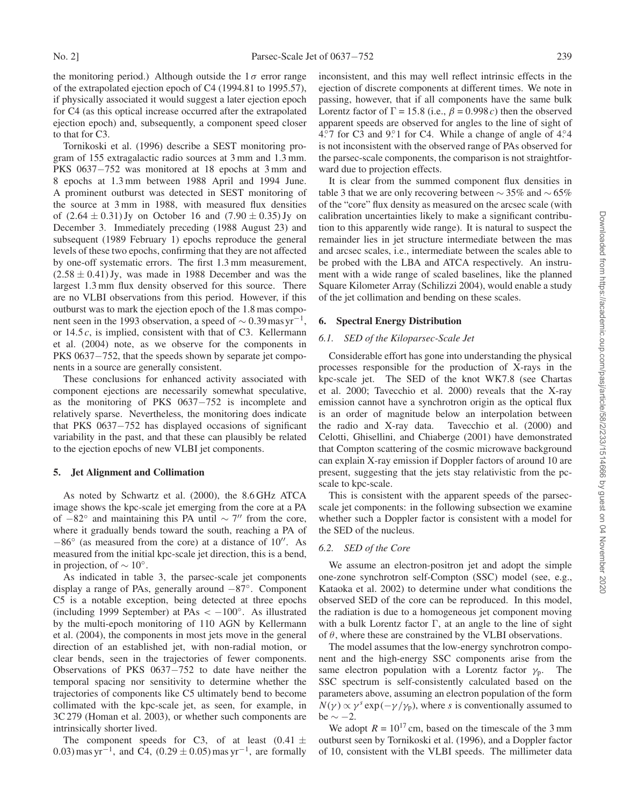the monitoring period.) Although outside the  $1\sigma$  error range of the extrapolated ejection epoch of C4 (1994.81 to 1995.57), if physically associated it would suggest a later ejection epoch for C4 (as this optical increase occurred after the extrapolated ejection epoch) and, subsequently, a component speed closer to that for C3.

Tornikoski et al. (1996) describe a SEST monitoring program of 155 extragalactic radio sources at 3 mm and 1.3 mm. PKS 0637−752 was monitored at 18 epochs at 3 mm and 8 epochs at 1.3 mm between 1988 April and 1994 June. A prominent outburst was detected in SEST monitoring of the source at 3 mm in 1988, with measured flux densities of  $(2.64 \pm 0.31)$  Jy on October 16 and  $(7.90 \pm 0.35)$  Jy on December 3. Immediately preceding (1988 August 23) and subsequent (1989 February 1) epochs reproduce the general levels of these two epochs, confirming that they are not affected by one-off systematic errors. The first 1.3 mm measurement,  $(2.58 \pm 0.41)$  Jy, was made in 1988 December and was the largest 1.3 mm flux density observed for this source. There are no VLBI observations from this period. However, if this outburst was to mark the ejection epoch of the 1.8 mas component seen in the 1993 observation, a speed of  $\sim 0.39$  mas yr<sup>-1</sup>, or  $14.5c$ , is implied, consistent with that of C3. Kellermann et al. (2004) note, as we observe for the components in PKS 0637−752, that the speeds shown by separate jet components in a source are generally consistent.

These conclusions for enhanced activity associated with component ejections are necessarily somewhat speculative, as the monitoring of PKS 0637−752 is incomplete and relatively sparse. Nevertheless, the monitoring does indicate that PKS 0637−752 has displayed occasions of significant variability in the past, and that these can plausibly be related to the ejection epochs of new VLBI jet components.

#### 5. Jet Alignment and Collimation

As noted by Schwartz et al. (2000), the 8.6 GHz ATCA image shows the kpc-scale jet emerging from the core at a PA of  $-82^\circ$  and maintaining this PA until  $\sim 7''$  from the core, where it gradually bends toward the south, reaching a PA of  $-86^\circ$  (as measured from the core) at a distance of 10". As measured from the initial kpc-scale jet direction, this is a bend, in projection, of  $\sim 10^{\circ}$ .

As indicated in table 3, the parsec-scale jet components display a range of PAs, generally around −87◦. Component C5 is a notable exception, being detected at three epochs (including 1999 September) at PAs  $\lt -100^\circ$ . As illustrated by the multi-epoch monitoring of 110 AGN by Kellermann et al. (2004), the components in most jets move in the general direction of an established jet, with non-radial motion, or clear bends, seen in the trajectories of fewer components. Observations of PKS 0637−752 to date have neither the temporal spacing nor sensitivity to determine whether the trajectories of components like C5 ultimately bend to become collimated with the kpc-scale jet, as seen, for example, in 3C 279 (Homan et al. 2003), or whether such components are intrinsically shorter lived.

The component speeds for C3, of at least  $(0.41 \pm$ 0.03) mas yr<sup>-1</sup>, and C4,  $(0.29 \pm 0.05)$  mas yr<sup>-1</sup>, are formally inconsistent, and this may well reflect intrinsic effects in the ejection of discrete components at different times. We note in passing, however, that if all components have the same bulk Lorentz factor of  $\Gamma = 15.8$  (i.e.,  $\beta = 0.998c$ ) then the observed apparent speeds are observed for angles to the line of sight of 4.°7 for C3 and 9.°1 for C4. While a change of angle of 4.°4 is not inconsistent with the observed range of PAs observed for the parsec-scale components, the comparison is not straightforward due to projection effects.

It is clear from the summed component flux densities in table 3 that we are only recovering between  $\sim$  35% and  $\sim$  65% of the "core" flux density as measured on the arcsec scale (with calibration uncertainties likely to make a significant contribution to this apparently wide range). It is natural to suspect the remainder lies in jet structure intermediate between the mas and arcsec scales, i.e., intermediate between the scales able to be probed with the LBA and ATCA respectively. An instrument with a wide range of scaled baselines, like the planned Square Kilometer Array (Schilizzi 2004), would enable a study of the jet collimation and bending on these scales.

### 6. Spectral Energy Distribution

## *6.1. SED of the Kiloparsec-Scale Jet*

Considerable effort has gone into understanding the physical processes responsible for the production of X-rays in the kpc-scale jet. The SED of the knot WK7.8 (see Chartas et al. 2000; Tavecchio et al. 2000) reveals that the X-ray emission cannot have a synchrotron origin as the optical flux is an order of magnitude below an interpolation between the radio and X-ray data. Tavecchio et al. (2000) and Celotti, Ghisellini, and Chiaberge (2001) have demonstrated that Compton scattering of the cosmic microwave background can explain X-ray emission if Doppler factors of around 10 are present, suggesting that the jets stay relativistic from the pcscale to kpc-scale.

This is consistent with the apparent speeds of the parsecscale jet components: in the following subsection we examine whether such a Doppler factor is consistent with a model for the SED of the nucleus.

### *6.2. SED of the Core*

We assume an electron-positron jet and adopt the simple one-zone synchrotron self-Compton (SSC) model (see, e.g., Kataoka et al. 2002) to determine under what conditions the observed SED of the core can be reproduced. In this model, the radiation is due to a homogeneous jet component moving with a bulk Lorentz factor  $\Gamma$ , at an angle to the line of sight of  $\theta$ , where these are constrained by the VLBI observations.

The model assumes that the low-energy synchrotron component and the high-energy SSC components arise from the same electron population with a Lorentz factor  $\gamma_p$ . The SSC spectrum is self-consistently calculated based on the parameters above, assuming an electron population of the form  $N(\gamma) \propto \gamma^{s} \exp(-\gamma/\gamma_{p})$ , where s is conventionally assumed to be  $\sim -2$ .

We adopt  $R = 10^{17}$  cm, based on the timescale of the 3 mm outburst seen by Tornikoski et al. (1996), and a Doppler factor of 10, consistent with the VLBI speeds. The millimeter data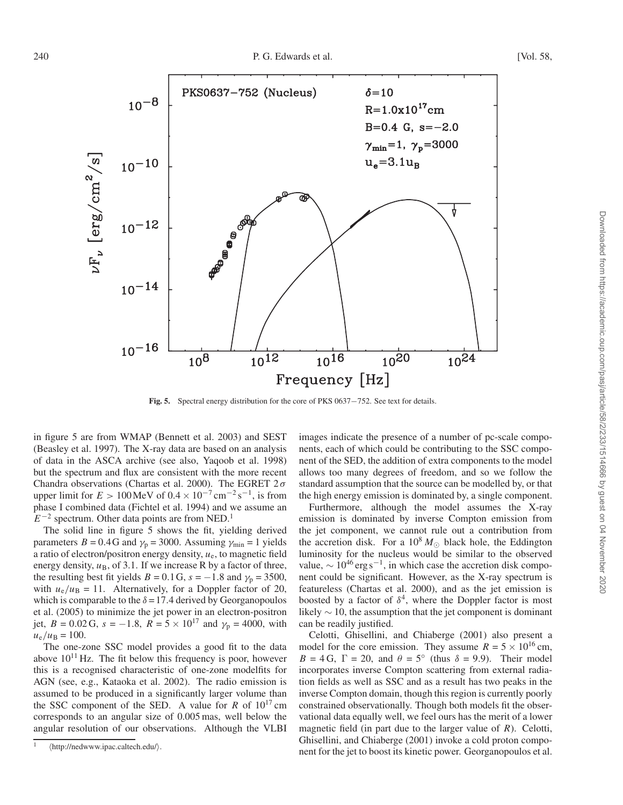

Fig. 5. Spectral energy distribution for the core of PKS 0637−752. See text for details.

in figure 5 are from WMAP (Bennett et al. 2003) and SEST (Beasley et al. 1997). The X-ray data are based on an analysis of data in the ASCA archive (see also, Yaqoob et al. 1998) but the spectrum and flux are consistent with the more recent Chandra observations (Chartas et al. 2000). The EGRET  $2\sigma$ upper limit for  $E > 100$  MeV of  $0.4 \times 10^{-7}$  cm<sup>-2</sup> s<sup>-1</sup>, is from phase I combined data (Fichtel et al. 1994) and we assume an  $E^{-2}$  spectrum. Other data points are from NED.<sup>1</sup>

The solid line in figure 5 shows the fit, yielding derived parameters  $B = 0.4$ G and  $\gamma_p = 3000$ . Assuming  $\gamma_{min} = 1$  yields a ratio of electron/positron energy density,  $u<sub>e</sub>$ , to magnetic field energy density,  $u_B$ , of 3.1. If we increase R by a factor of three, the resulting best fit yields  $B = 0.1$  G,  $s = -1.8$  and  $\gamma_p = 3500$ , with  $u_e/u_B = 11$ . Alternatively, for a Doppler factor of 20, which is comparable to the  $\delta = 17.4$  derived by Georganopoulos et al. (2005) to minimize the jet power in an electron-positron jet,  $B = 0.02$  G,  $s = -1.8$ ,  $R = 5 \times 10^{17}$  and  $\gamma_p = 4000$ , with  $u_{\rm e}/u_{\rm B} = 100.$ 

The one-zone SSC model provides a good fit to the data above  $10^{11}$  Hz. The fit below this frequency is poor, however this is a recognised characteristic of one-zone modelfits for AGN (see, e.g., Kataoka et al. 2002). The radio emission is assumed to be produced in a significantly larger volume than the SSC component of the SED. A value for R of  $10^{17}$  cm corresponds to an angular size of 0.005 mas, well below the angular resolution of our observations. Although the VLBI

images indicate the presence of a number of pc-scale components, each of which could be contributing to the SSC component of the SED, the addition of extra components to the model allows too many degrees of freedom, and so we follow the standard assumption that the source can be modelled by, or that the high energy emission is dominated by, a single component.

Furthermore, although the model assumes the X-ray emission is dominated by inverse Compton emission from the jet component, we cannot rule out a contribution from the accretion disk. For a 10<sup>8</sup>  $M_{\odot}$  black hole, the Eddington luminosity for the nucleus would be similar to the observed value,  $\sim 10^{46}$  erg s<sup>-1</sup>, in which case the accretion disk component could be significant. However, as the X-ray spectrum is featureless (Chartas et al. 2000), and as the jet emission is boosted by a factor of  $\delta^4$ , where the Doppler factor is most likely  $\sim$  10, the assumption that the jet component is dominant can be readily justified.

Celotti, Ghisellini, and Chiaberge (2001) also present a model for the core emission. They assume  $R = 5 \times 10^{16}$  cm,  $B = 4 G$ ,  $\Gamma = 20$ , and  $\theta = 5^{\circ}$  (thus  $\delta = 9.9$ ). Their model incorporates inverse Compton scattering from external radiation fields as well as SSC and as a result has two peaks in the inverse Compton domain, though this region is currently poorly constrained observationally. Though both models fit the observational data equally well, we feel ours has the merit of a lower magnetic field (in part due to the larger value of  $R$ ). Celotti, Ghisellini, and Chiaberge (2001) invoke a cold proton component for the jet to boost its kinetic power. Georganopoulos et al.

<sup>&</sup>lt;sup>1</sup> (http://nedwww.ipac.caltech.edu/).